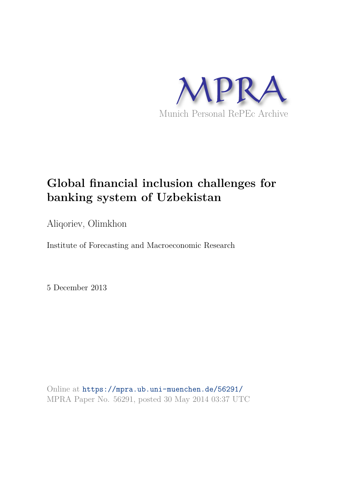

## **Global financial inclusion challenges for banking system of Uzbekistan**

Aliqoriev, Olimkhon

Institute of Forecasting and Macroeconomic Research

5 December 2013

Online at https://mpra.ub.uni-muenchen.de/56291/ MPRA Paper No. 56291, posted 30 May 2014 03:37 UTC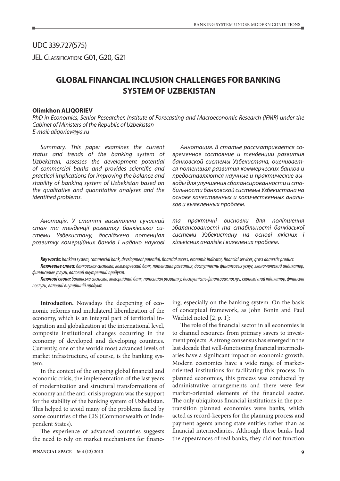UDC 339.727(575) JEL CLASSIFICATION: G01, G20, G21

## **GLOBAL FINANCIAL INCLUSION CHALLENGES FOR BANKING SYSTEM OF UZBEKISTAN**

## **Olimkhon ALIQORIEV**

PhD in Economics, Senior Researcher, Institute of Forecasting and Macroeconomic Research (IFMR) under the Cabinet of Ministers of the Republic of Uzbekistan E-mail: aliqoriev@ya.ru

Summary. This paper examines the current status and trends of the banking system of Uzbekistan, assesses the development potential of commercial banks and provides scientific and practical implications for improving the balance and stability of banking system of Uzbekistan based on the qualitative and quantitative analyses and the identified problems.

Анотація. У статті висвітлено сучасний стан та тенденції розвитку банківської системи Узбекистану, досліджено потенціал розвитку комерційних банків і надано наукові

Аннотация. В статье рассматривается современное состояние и тенденции развития банковской системы Узбекистана, оценивается потенциал развития коммерческих банков и предоставляются научные и практические выводы для улучшения сбалансированности и стабильности банковской системы Узбекистана на основе качественных и количественных анализов и выявленных проблем.

та практичні висновки для поліпшення збалансованості та стабільності банківської системи Узбекистану на основі якісних і кількісних аналізів і виявлених проблем.

**Key words:** banking system, commercial bank, development potential, financial access, economic indicator, financial services, gross domestic product. **Ключевые слова:** банковская система, коммерческий банк, потенциал развития, доступность финансовых услуг, экономический индикатор, финансовые услуги, валовой внутренний продукт.

**Ключові слова:** банківська система, комерційний банк, потенціал розвитку, доступність фінансових послуг, економічний індикатор, фінансові послуги, валовий внутрішній продукт.

**Introduction.** Nowadays the deepening of economic reforms and multilateral liberalization of the economy, which is an integral part of territorial integration and globalization at the international level, composite institutional changes occurring in the economy of developed and developing countries. Currently, one of the world's most advanced levels of market infrastructure, of course, is the banking system.

In the context of the ongoing global financial and economic crisis, the implementation of the last years of modernization and structural transformations of economy and the anti-crisis program was the support for the stability of the banking system of Uzbekistan. This helped to avoid many of the problems faced by some countries of the CIS (Commonwealth of Independent States).

The experience of advanced countries suggests the need to rely on market mechanisms for financing, especially on the banking system. On the basis of conceptual framework, as John Bonin and Paul Wachtel noted [2, p. 1]:

The role of the financial sector in all economies is to channel resources from primary savers to investment projects. A strong consensus has emerged in the last decade that well-functioning financial intermediaries have a significant impact on economic growth. Modern economies have a wide range of marketoriented institutions for facilitating this process. In planned economies, this process was conducted by administrative arrangements and there were few market-oriented elements of the financial sector. The only ubiquitous financial institutions in the pretransition planned economies were banks, which acted as record-keepers for the planning process and payment agents among state entities rather than as financial intermediaries. Although these banks had the appearances of real banks, they did not function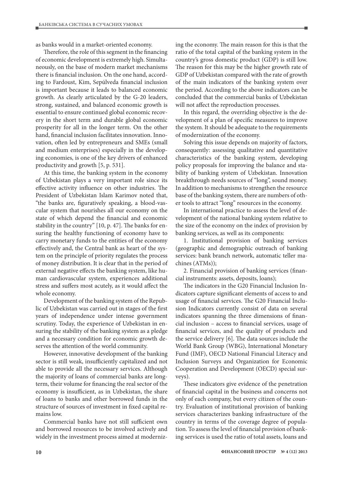as banks would in a market-oriented economy.

Therefore, the role of this segment in the financing of economic development is extremely high. Simultaneously, on the base of modern market mechanisms there is financial inclusion. On the one hand, according to Fardoust, Kim, Sepúlveda financial inclusion is important because it leads to balanced economic growth. As clearly articulated by the G-20 leaders, strong, sustained, and balanced economic growth is essential to ensure continued global economic recovery in the short term and durable global economic prosperity for all in the longer term. On the other hand, financial inclusion facilitates innovation. Innovation, often led by entrepreneurs and SMEs (small and medium enterprises) especially in the developing economies, is one of the key drivers of enhanced productivity and growth [5, p. 531].

At this time, the banking system in the economy of Uzbekistan plays a very important role since its effective activity influence on other industries. The President of Uzbekistan Islam Karimov noted that, "the banks are, figuratively speaking, a blood-vascular system that nourishes all our economy on the state of which depend the financial and economic stability in the country" [10, p. 47]. The banks for ensuring the healthy functioning of economy have to carry monetary funds to the entities of the economy effectively and, the Central bank as heart of the system on the principle of priority regulates the process of money distribution. It is clear that in the period of external negative effects the banking system, like human cardiovascular system, experiences additional stress and suffers most acutely, as it would affect the whole economy.

Development of the banking system of the Republic of Uzbekistan was carried out in stages of the first years of independence under intense government scrutiny. Today, the experience of Uzbekistan in ensuring the stability of the banking system as a pledge and a necessary condition for economic growth deserves the attention of the world community.

However, innovative development of the banking sector is still weak, insufficiently capitalized and not able to provide all the necessary services. Although the majority of loans of commercial banks are longterm, their volume for financing the real sector of the economy is insufficient, as in Uzbekistan, the share of loans to banks and other borrowed funds in the structure of sources of investment in fixed capital remains low.

Commercial banks have not still sufficient own and borrowed resources to be involved actively and widely in the investment process aimed at modernizing the economy. The main reason for this is that the ratio of the total capital of the banking system in the country's gross domestic product (GDP) is still low. The reason for this may be the higher growth rate of GDP of Uzbekistan compared with the rate of growth of the main indicators of the banking system over the period. According to the above indicators can be concluded that the commercial banks of Uzbekistan will not affect the reproduction processes.

In this regard, the overriding objective is the development of a plan of specific measures to improve the system. It should be adequate to the requirements of modernization of the economy.

Solving this issue depends on majority of factors, consequently: assessing qualitative and quantitative characteristics of the banking system, developing policy proposals for improving the balance and stability of banking system of Uzbekistan. Innovation breakthrough needs sources of "long", sound money. In addition to mechanisms to strengthen the resource base of the banking system, there are numbers of other tools to attract "long" resources in the economy.

In international practice to assess the level of development of the national banking system relative to the size of the economy on the index of provision by banking services, as well as its components:

1. Institutional provision of banking services (geographic and demographic outreach of banking services: bank branch network, automatic teller machines (ATMs));

2. Financial provision of banking services (financial instruments: assets, deposits, loans);

The indicators in the G20 Financial Inclusion Indicators capture significant elements of access to and usage of financial services. The G20 Financial Inclusion Indicators currently consist of data on several indicators spanning the three dimensions of financial inclusion – access to financial services, usage of financial services, and the quality of products and the service delivery [6]. The data sources include the World Bank Group (WBG), International Monetary Fund (IMF), OECD National Financial Literacy and Inclusion Surveys and Organization for Economic Cooperation and Development (OECD) special surveys).

These indicators give evidence of the penetration of financial capital in the business and concerns not only of each company, but every citizen of the country. Evaluation of institutional provision of banking services characterizes banking infrastructure of the country in terms of the coverage degree of population. To assess the level of financial provision of banking services is used the ratio of total assets, loans and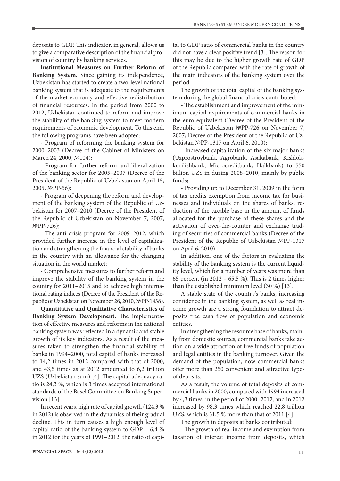deposits to GDP. This indicator, in general, allows us to give a comparative description of the financial provision of country by banking services.

**Institutional Measures on Further Reform of Banking System.** Since gaining its independence, Uzbekistan has started to create a two-level national banking system that is adequate to the requirements of the market economy and effective redistribution of financial resources. In the period from 2000 to 2012, Uzbekistan continued to reform and improve the stability of the banking system to meet modern requirements of economic development. To this end, the following programs have been adopted:

- Program of reforming the banking system for 2000–2003 (Decree of the Cabinet of Ministers on March 24, 2000, №104);

- Program for further reform and liberalization of the banking sector for 2005–2007 (Decree of the President of the Republic of Uzbekistan on April 15, 2005, №PP-56);

- Program of deepening the reform and development of the banking system of the Republic of Uzbekistan for 2007–2010 (Decree of the President of the Republic of Uzbekistan on November 7, 2007, №PP-726);

- The anti-crisis program for 2009–2012, which provided further increase in the level of capitalization and strengthening the financial stability of banks in the country with an allowance for the changing situation in the world market;

- Comprehensive measures to further reform and improve the stability of the banking system in the country for 2011–2015 and to achieve high international rating indices (Decree of the President of the Republic of Uzbekistan on November 26, 2010, №PP-1438).

**Quantitative and Qualitative Characteristics of Banking System Development.** The implementation of effective measures and reforms in the national banking system was reflected in a dynamic and stable growth of its key indicators. As a result of the measures taken to strengthen the financial stability of banks in 1994–2000, total capital of banks increased to 14,2 times in 2012 compared with that of 2000, and 43,5 times as at 2012 amounted to 6,2 trillion UZS (Uzbekistan sum) [4]. The capital adequacy ratio is 24,3 %, which is 3 times accepted international standards of the Basel Committee on Banking Supervision [13].

In recent years, high rate of capital growth (124,3 % in 2012) is observed in the dynamics of their gradual decline. This in turn causes a high enough level of capital ratio of the banking system to GDP – 6,4 % in 2012 for the years of 1991–2012, the ratio of capital to GDP ratio of commercial banks in the country did not have a clear positive trend [3]. The reason for this may be due to the higher growth rate of GDP of the Republic compared with the rate of growth of the main indicators of the banking system over the period.

The growth of the total capital of the banking system during the global financial crisis contributed:

- The establishment and improvement of the minimum capital requirements of commercial banks in the euro equivalent (Decree of the President of the Republic of Uzbekistan №PP-726 on November 7, 2007; Decree of the President of the Republic of Uzbekistan №PP-1317 on April 6, 2010);

- Increased capitalization of the six major banks (Uzprostroybank, Agrobank, Asakabank, Kishlokkurilishbank, Microcreditbank, Halkbank) to 550 billion UZS in during 2008–2010, mainly by public funds;

- Providing up to December 31, 2009 in the form of tax credits exemption from income tax for businesses and individuals on the shares of banks, reduction of the taxable base in the amount of funds allocated for the purchase of these shares and the activation of over-the-counter and exchange trading of securities of commercial banks (Decree of the President of the Republic of Uzbekistan №PP-1317 on April 6, 2010).

In addition, one of the factors in evaluating the stability of the banking system is the current liquidity level, which for a number of years was more than 65 percent (in 2012 – 65,5 %). This is 2 times higher than the established minimum level (30 %) [13].

A stable state of the country's banks, increasing confidence in the banking system, as well as real income growth are a strong foundation to attract deposits free cash flow of population and economic entities.

In strengthening the resource base of banks, mainly from domestic sources, commercial banks take action on a wide attraction of free funds of population and legal entities in the banking turnover. Given the demand of the population, now commercial banks offer more than 250 convenient and attractive types of deposits.

As a result, the volume of total deposits of commercial banks in 2000, compared with 1994 increased by 4,3 times, in the period of 2000–2012, and in 2012 increased by 98,3 times which reached 22,8 trillion UZS, which is 31,5 % more than that of 2011 [4].

The growth in deposits at banks contributed:

- The growth of real income and exemption from taxation of interest income from deposits, which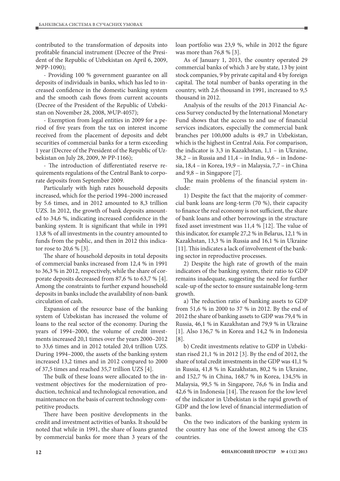contributed to the transformation of deposits into profitable financial instrument (Decree of the President of the Republic of Uzbekistan on April 6, 2009, №PP-1090);

- Providing 100 % government guarantee on all deposits of individuals in banks, which has led to increased confidence in the domestic banking system and the smooth cash flows from current accounts (Decree of the President of the Republic of Uzbekistan on November 28, 2008, №UP-4057);

- Exemption from legal entities in 2009 for a period of five years from the tax on interest income received from the placement of deposits and debt securities of commercial banks for a term exceeding 1 year (Decree of the President of the Republic of Uzbekistan on July 28, 2009, № PP-1166);

- The introduction of differentiated reserve requirements regulations of the Central Bank to corporate deposits from September 2009.

Particularly with high rates household deposits increased, which for the period 1994–2000 increased by 5.6 times, and in 2012 amounted to 8,3 trillion UZS. In 2012, the growth of bank deposits amounted to 34,6 %, indicating increased confidence in the banking system. It is significant that while in 1991 13,8 % of all investments in the country amounted to funds from the public, and then in 2012 this indicator rose to 20,6 % [3].

The share of household deposits in total deposits of commercial banks increased from 12,4 % in 1991 to 36,3 % in 2012, respectively, while the share of corporate deposits decreased from 87,6 % to 63,7 % [4]. Among the constraints to further expand household deposits in banks include the availability of non-bank circulation of cash.

Expansion of the resource base of the banking system of Uzbekistan has increased the volume of loans to the real sector of the economy. During the years of 1994–2000, the volume of credit investments increased 20,1 times over the years 2000–2012 to 33,6 times and in 2012 totaled 20,4 trillion UZS. During 1994–2000, the assets of the banking system increased 13,2 times and in 2012 compared to 2000 of 37,5 times and reached 35,7 trillion UZS [4].

The bulk of these loans were allocated to the investment objectives for the modernization of production, technical and technological renovation, and maintenance on the basis of current technology competitive products.

There have been positive developments in the credit and investment activities of banks. It should be noted that while in 1991, the share of loans granted by commercial banks for more than 3 years of the loan portfolio was 23,9 %, while in 2012 the figure was more than 76,8 % [3].

As of January 1, 2013, the country operated 29 commercial banks of which 3 are by state, 13 by joint stock companies, 9 by private capital and 4 by foreign capital. The total number of banks operating in the country, with 2,6 thousand in 1991, increased to 9,5 thousand in 2012.

Analysis of the results of the 2013 Financial Access Survey conducted by the International Monetary Fund shows that the access to and use of financial services indicators, especially the commercial bank branches per 100,000 adults is 49,7 in Uzbekistan, which is the highest in Central Asia. For comparison, the indicator is 3,3 in Kazakhstan, 1,1 – in Ukraine, 38,2 – in Russia and 11,4 – in India, 9,6 – in Indonesia, 18,4 – in Korea, 19,9 – in Malaysia, 7,7 – in China and 9,8 – in Singapore [7].

The main problems of the financial system include:

1) Despite the fact that the majority of commercial bank loans are long-term (70 %), their capacity to finance the real economy is not sufficient, the share of bank loans and other borrowings in the structure fixed asset investment was 11,4 % [12]. The value of this indicator, for example 27,2 % in Belarus, 12,1 % in Kazakhstan, 13,3 % in Russia and 16,1 % in Ukraine [11]. This indicates a lack of involvement of the banking sector in reproductive processes.

2) Despite the high rate of growth of the main indicators of the banking system, their ratio to GDP remains inadequate, suggesting the need for further scale-up of the sector to ensure sustainable long-term growth.

a) The reduction ratio of banking assets to GDP from 51,6 % in 2000 to 37 % in 2012. By the end of 2012 the share of banking assets to GDP was 79,4 % in Russia, 46,1 % in Kazakhstan and 79,9 % in Ukraine [1]. Also 136,7 % in Korea and 14,2 % in Indonesia [8].

b) Credit investments relative to GDP in Uzbekistan rised 21,1 % in 2012 [3]. By the end of 2012, the share of total credit investments in the GDP was 41,1 % in Russia, 41,8 % in Kazakhstan, 80,2 % in Ukraine, and 152,7 % in China, 168,7 % in Korea, 134,5% in Malaysia, 99,5 % in Singapore, 76,6 % in India and 42,6 % in Indonesia [14]. The reason for the low level of the indicator in Uzbekistan is the rapid growth of GDP and the low level of financial intermediation of banks.

On the two indicators of the banking system in the country has one of the lowest among the CIS countries.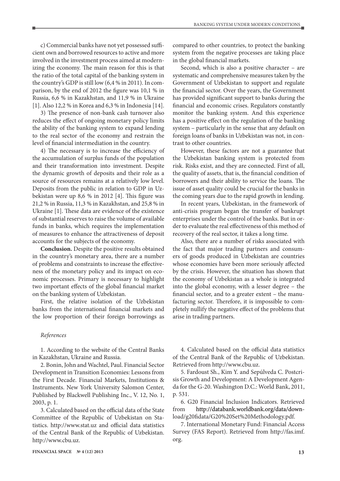c) Commercial banks have not yet possessed sufficient own and borrowed resources to active and more involved in the investment process aimed at modernizing the economy. The main reason for this is that the ratio of the total capital of the banking system in the country's GDP is still low (6,4 % in 2011). In comparison, by the end of 2012 the figure was 10,1 % in Russia, 6,6 % in Kazakhstan, and 11,9 % in Ukraine [1]. Also 12,2 % in Korea and 6,3 % in Indonesia [14].

3) The presence of non-bank cash turnover also reduces the effect of ongoing monetary policy limits the ability of the banking system to expand lending to the real sector of the economy and restrain the level of financial intermediation in the country.

4) The necessary is to increase the efficiency of the accumulation of surplus funds of the population and their transformation into investment. Despite the dynamic growth of deposits and their role as a source of resources remains at a relatively low level. Deposits from the public in relation to GDP in Uzbekistan were up 8,6 % in 2012 [4]. This figure was 21,2 % in Russia, 11,3 % in Kazakhstan, and 25,8 % in Ukraine [1]. These data are evidence of the existence of substantial reserves to raise the volume of available funds in banks, which requires the implementation of measures to enhance the attractiveness of deposit accounts for the subjects of the economy.

**Conclusion.** Despite the positive results obtained in the country's monetary area, there are a number of problems and constraints to increase the effectiveness of the monetary policy and its impact on economic processes. Primary is necessary to highlight two important effects of the global financial market on the banking system of Uzbekistan.

First, the relative isolation of the Uzbekistan banks from the international financial markets and the low proportion of their foreign borrowings as

## References

1. According to the website of the Central Banks in Kazakhstan, Ukraine and Russia.

2. Bonin, John and Wachtel, Paul. Financial Sector Development in Transition Economies: Lessons from the First Decade. Financial Markets, Institutions & Instruments. New York University Salomon Center, Published by Blackwell Publishing Inc., V. 12, No. 1, 2003, p. 1.

3. Calculated based on the official data of the State Committee of the Republic of Uzbekistan on Statistics. http://www.stat.uz and official data statistics of the Central Bank of the Republic of Uzbekistan. http://www.cbu.uz.

compared to other countries, to protect the banking system from the negative processes are taking place in the global financial markets.

Second, which is also a positive character – are systematic and comprehensive measures taken by the Government of Uzbekistan to support and regulate the financial sector. Over the years, the Government has provided significant support to banks during the financial and economic crises. Regulators constantly monitor the banking system. And this experience has a positive effect on the regulation of the banking system – particularly in the sense that any default on foreign loans of banks in Uzbekistan was not, in contrast to other countries.

However, these factors are not a guarantee that the Uzbekistan banking system is protected from risk. Risks exist, and they are connected. First of all, the quality of assets, that is, the financial condition of borrowers and their ability to service the loans. The issue of asset quality could be crucial for the banks in the coming years due to the rapid growth in lending.

In recent years, Uzbekistan, in the framework of anti-crisis program began the transfer of bankrupt enterprises under the control of the banks. But in order to evaluate the real effectiveness of this method of recovery of the real sector, it takes a long time.

Also, there are a number of risks associated with the fact that major trading partners and consumers of goods produced in Uzbekistan are countries whose economies have been more seriously affected by the crisis. However, the situation has shown that the economy of Uzbekistan as a whole is integrated into the global economy, with a lesser degree – the financial sector, and to a greater extent – the manufacturing sector. Therefore, it is impossible to completely nullify the negative effect of the problems that arise in trading partners.

4. Calculated based on the official data statistics of the Central Bank of the Republic of Uzbekistan. Retrieved from http://www.cbu.uz.

5. Fardoust Sh., Kim Y. and Sepúlveda C. Postcrisis Growth and Development: A Development Agenda for the G-20. Washington D.C.: World Bank, 2011, p. 531.

6. G20 Financial Inclusion Indicators. Retrieved from http://databank.worldbank.org/data/down- http://databank.worldbank.org/data/download/g20fidata/G20%20Set%20Methodology.pdf.

7. International Monetary Fund: Financial Access Survey (FAS Report). Retrieved from http://fas.imf. org.